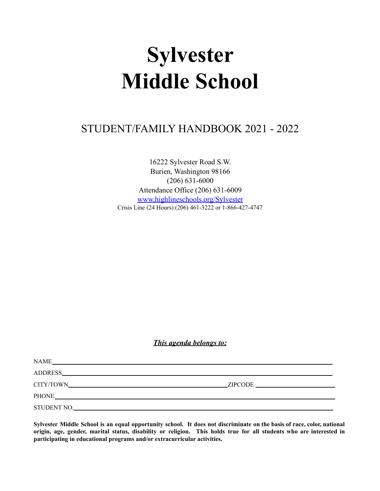# **Sylvester Middle School**

# STUDENT/FAMILY HANDBOOK 2021 - 2022

16222 Sylvester Road S.W. Burien, Washington 98166 (206) 631-6000 Attendance Office (206) 631-6009 www.highlineschools.org/Sylvester Crisis Line (24 Hours) (206) 461-3222 or 1-866-427-4747

*This agenda belongs to:*

| NAME        |  |
|-------------|--|
|             |  |
|             |  |
| PHONE       |  |
| STUDENT NO. |  |

Sylvester Middle School is an equal opportunity school. It does not discriminate on the basis of race, color, national origin, age, gender, marital status, disability or religion. This holds true for all students who are interested in **participating in educational programs and/or extracurricular activities.**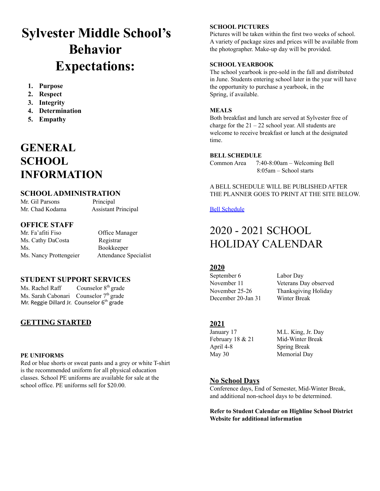# **Sylvester Middle School's Behavior Expectations:**

- **1. Purpose**
- **2. Respect**
- **3. Integrity**
- **4. Determination**
- **5. Empathy**

# **GENERAL SCHOOL INFORMATION**

# **SCHOOLADMINISTRATION**

Mr. Gil Parsons Principal Mr. Chad Kodama Assistant Principal

# **OFFICE STAFF**

Mr. Fa'afiti Fiso Office Manager Ms. Cathy DaCosta Registrar Ms. Bookkeeper Ms. Nancy Prottengeier Attendance Specialist

# **STUDENT SUPPORT SERVICES**

Ms. Rachel Raff Counselor  $8<sup>th</sup>$  grade Ms. Sarah Cabonari Counselor 7<sup>th</sup> grade Mr. Reggie Dillard Jr. Counselor 6<sup>th</sup> grade

# **GETTING STARTED**

# **PE UNIFORMS**

Red or blue shorts or sweat pants and a grey or white T-shirt is the recommended uniform for all physical education classes. School PE uniforms are available for sale at the school office. PE uniforms sell for \$20.00.

# **SCHOOL PICTURES**

Pictures will be taken within the first two weeks of school. A variety of package sizes and prices will be available from the photographer. Make-up day will be provided.

# **SCHOOL YEARBOOK**

The school yearbook is pre-sold in the fall and distributed in June. Students entering school later in the year will have the opportunity to purchase a yearbook, in the Spring, if available.

# **MEALS**

Both breakfast and lunch are served at Sylvester free of charge for the  $21 - 22$  school year. All students are welcome to receive breakfast or lunch at the designated time.

# **BELL SCHEDULE**

Common Area 7:40-8:00am – Welcoming Bell 8:05am – School starts

# A BELL SCHEDULE WILL BE PUBLISHED AFTER THE PLANNER GOES TO PRINT AT THE SITE BELOW.

# Bell Schedule

# 2020 - 2021 SCHOOL HOLIDAY CALENDAR

# **2020**

September 6 Labor Day December 20-Jan 31 Winter Break

November 11 Veterans Day observed November 25-26 Thanksgiving Holiday

# **2021**

April 4-8 Spring Break May 30 Memorial Day

January 17 M.L. King, Jr. Day February 18 & 21 Mid-Winter Break

# **No School Days**

Conference days, End of Semester, Mid-Winter Break, and additional non-school days to be determined.

**Refer to Student Calendar on Highline School District Website for additional information**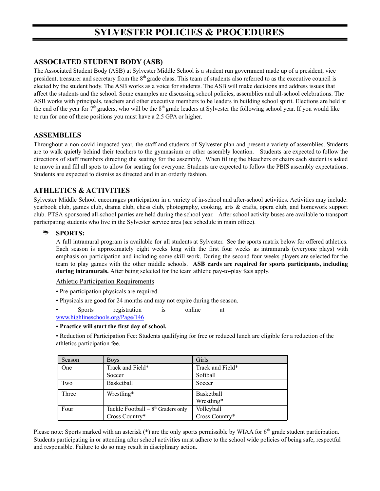# **SYLVESTER POLICIES & PROCEDURES**

# **ASSOCIATED STUDENT BODY (ASB)**

The Associated Student Body (ASB) at Sylvester Middle School is a student run government made up of a president, vice president, treasurer and secretary from the 8<sup>th</sup> grade class. This team of students also referred to as the executive council is elected by the student body. The ASB works as a voice for students. The ASB will make decisions and address issues that affect the students and the school. Some examples are discussing school policies, assemblies and all-school celebrations. The ASB works with principals, teachers and other executive members to be leaders in building school spirit. Elections are held at the end of the year for  $7<sup>th</sup>$  graders, who will be the  $8<sup>th</sup>$  grade leaders at Sylvester the following school year. If you would like to run for one of these positions you must have a 2.5 GPA or higher.

# **ASSEMBLIES**

Throughout a non-covid impacted year, the staff and students of Sylvester plan and present a variety of assemblies. Students are to walk quietly behind their teachers to the gymnasium or other assembly location. Students are expected to follow the directions of staff members directing the seating for the assembly. When filling the bleachers or chairs each student is asked to move in and fill all spots to allow for seating for everyone. Students are expected to follow the PBIS assembly expectations. Students are expected to dismiss as directed and in an orderly fashion.

# **ATHLETICS & ACTIVITIES**

Sylvester Middle School encourages participation in a variety of in-school and after-school activities. Activities may include: yearbook club, games club, drama club, chess club, photography, cooking, arts & crafts, opera club, and homework support club. PTSA sponsored all-school parties are held during the school year. After school activity buses are available to transport participating students who live in the Sylvester service area (see schedule in main office).

# **SPORTS:**

A full intramural program is available for all students at Sylvester. See the sports matrix below for offered athletics. Each season is approximately eight weeks long with the first four weeks as intramurals (everyone plays) with emphasis on participation and including some skill work. During the second four weeks players are selected for the team to play games with the other middle schools. **ASB cards are required for sports participants, including during intramurals.** After being selected for the team athletic pay-to-play fees apply.

Athletic Participation Requirements

- Pre-participation physicals are required.
- Physicals are good for 24 months and may not expire during the season.

• Sports registration is online at www.highlineschools.org/Page/146

#### • **Practice will start the first day of school.**

• Reduction of Participation Fee: Students qualifying for free or reduced lunch are eligible for a reduction of the athletics participation fee.

| Season | <b>Boys</b>                         | Girls            |
|--------|-------------------------------------|------------------|
| One    | Track and Field*                    | Track and Field* |
|        | Soccer                              | Softball         |
| Two    | Basketball                          | Soccer           |
| Three  | Wrestling*                          | Basketball       |
|        |                                     | Wrestling*       |
| Four   | Tackle Football $-8th$ Graders only | Volleyball       |
|        | Cross Country*                      | Cross Country*   |

Please note: Sports marked with an asterisk  $(*)$  are the only sports permissible by WIAA for  $6<sup>th</sup>$  grade student participation. Students participating in or attending after school activities must adhere to the school wide policies of being safe, respectful and responsible. Failure to do so may result in disciplinary action.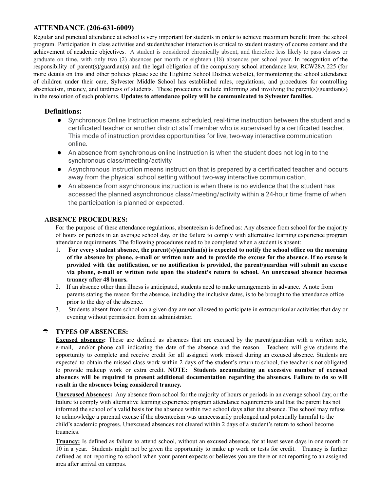# **ATTENDANCE (206-631-6009)**

Regular and punctual attendance at school is very important for students in order to achieve maximum benefit from the school program. Participation in class activities and student/teacher interaction is critical to student mastery of course content and the achievement of academic objectives. A student is considered chronically absent, and therefore less likely to pass classes or graduate on time, with only two (2) absences per month or eighteen (18) absences per school year. In recognition of the responsibility of parent(s)/guardian(s) and the legal obligation of the compulsory school attendance law, RCW28A.225 (for more details on this and other policies please see the Highline School District website), for monitoring the school attendance of children under their care, Sylvester Middle School has established rules, regulations, and procedures for controlling absenteeism, truancy, and tardiness of students. These procedures include informing and involving the parent(s)/guardian(s) in the resolution of such problems. **Updates to attendance policy will be communicated to Sylvester families.**

# **Definitions:**

- Synchronous Online Instruction means scheduled, real-time instruction between the student and a certificated teacher or another district staff member who is supervised by a certificated teacher. This mode of instruction provides opportunities for live, two-way interactive communication online.
- An absence from synchronous online instruction is when the student does not log in to the synchronous class/meeting/activity
- Asynchronous Instruction means instruction that is prepared by a certificated teacher and occurs away from the physical school setting without two-way interactive communication.
- An absence from asynchronous instruction is when there is no evidence that the student has accessed the planned asynchronous class/meeting/activity within a 24-hour time frame of when the participation is planned or expected.

# **ABSENCE PROCEDURES:**

For the purpose of these attendance regulations, absenteeism is defined as: Any absence from school for the majority of hours or periods in an average school day, or the failure to comply with alternative learning experience program attendance requirements. The following procedures need to be completed when a student is absent:

- 1. **For every student absence, the parent(s)/guardian(s) is expected to notify the school office on the morning** of the absence by phone, e-mail or written note and to provide the excuse for the absence. If no excuse is **provided with the notification, or no notification is provided, the parent/guardian will submit an excuse via phone, e-mail or written note upon the student's return to school. An unexcused absence becomes truancy after 48 hours.**
- 2. If an absence other than illness is anticipated, students need to make arrangements in advance. A note from parents stating the reason for the absence, including the inclusive dates, is to be brought to the attendance office prior to the day of the absence.
- 3. Students absent from school on a given day are not allowed to participate in extracurricular activities that day or evening without permission from an administrator.

# **TYPES OF ABSENCES:**

**Excused absences:** These are defined as absences that are excused by the parent/guardian with a written note, e-mail, and/or phone call indicating the date of the absence and the reason. Teachers will give students the opportunity to complete and receive credit for all assigned work missed during an excused absence. Students are expected to obtain the missed class work within 2 days of the student's return to school, the teacher is not obligated to provide makeup work or extra credit. **NOTE: Students accumulating an excessive number of excused absences will be required to present additional documentation regarding the absences. Failure to do so will result in the absences being considered truancy.**

**Unexcused Absences:** Any absence from school for the majority of hours or periods in an average school day, or the failure to comply with alternative learning experience program attendance requirements and that the parent has not informed the school of a valid basis for the absence within two school days after the absence. The school may refuse to acknowledge a parental excuse if the absenteeism was unnecessarily prolonged and potentially harmful to the child's academic progress. Unexcused absences not cleared within 2 days of a student's return to school become truancies.

**Truancy:** Is defined as failure to attend school, without an excused absence, for at least seven days in one month or 10 in a year. Students might not be given the opportunity to make up work or tests for credit. Truancy is further defined as not reporting to school when your parent expects or believes you are there or not reporting to an assigned area after arrival on campus.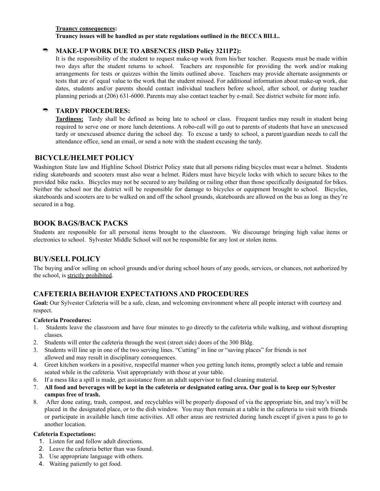#### **Truancy consequences:**

**Truancy issues will be handled as per state regulations outlined in the BECCA BILL.**

# **MAKE-UP WORK DUE TO ABSENCES (HSD Policy 3211P2):**

It is the responsibility of the student to request make-up work from his/her teacher. Requests must be made within two days after the student returns to school. Teachers are responsible for providing the work and/or making arrangements for tests or quizzes within the limits outlined above. Teachers may provide alternate assignments or tests that are of equal value to the work that the student missed. For additional information about make-up work, due dates, students and/or parents should contact individual teachers before school, after school, or during teacher planning periods at (206) 631-6000. Parents may also contact teacher by e-mail. See district website for more info.

# **TARDY PROCEDURES:**

**Tardiness:** Tardy shall be defined as being late to school or class. Frequent tardies may result in student being required to serve one or more lunch detentions. A robo-call will go out to parents of students that have an unexcused tardy or unexcused absence during the school day. To excuse a tardy to school, a parent/guardian needs to call the attendance office, send an email, or send a note with the student excusing the tardy.

# **BICYCLE/HELMET POLICY**

Washington State law and Highline School District Policy state that all persons riding bicycles must wear a helmet. Students riding skateboards and scooters must also wear a helmet. Riders must have bicycle locks with which to secure bikes to the provided bike racks. Bicycles may not be secured to any building or railing other than those specifically designated for bikes. Neither the school nor the district will be responsible for damage to bicycles or equipment brought to school. Bicycles, skateboards and scooters are to be walked on and off the school grounds, skateboards are allowed on the bus as long as they're secured in a bag.

# **BOOK BAGS/BACK PACKS**

Students are responsible for all personal items brought to the classroom. We discourage bringing high value items or electronics to school. Sylvester Middle School will not be responsible for any lost or stolen items.

# **BUY/SELL POLICY**

The buying and/or selling on school grounds and/or during school hours of any goods, services, or chances, not authorized by the school, is strictly prohibited.

# **CAFETERIA BEHAVIOR EXPECTATIONS AND PROCEDURES**

**Goal:** Our Sylvester Cafeteria will be a safe, clean, and welcoming environment where all people interact with courtesy and respect.

#### **Cafeteria Procedures:**

- 1. Students leave the classroom and have four minutes to go directly to the cafeteria while walking, and without disrupting classes.
- 2. Students will enter the cafeteria through the west (street side) doors of the 300 Bldg.
- 3. Students will line up in one of the two serving lines. "Cutting" in line or "saving places" for friends is not allowed and may result in disciplinary consequences.
- 4. Greet kitchen workers in a positive, respectful manner when you getting lunch items, promptly select a table and remain seated while in the cafeteria. Visit appropriately with those at your table.
- 6. If a mess like a spill is made, get assistance from an adult supervisor to find cleaning material.
- 7. All food and beverages will be kept in the cafeteria or designated eating area. Our goal is to keep our Sylvester **campus free of trash.**
- 8. After done eating, trash, compost, and recyclables will be properly disposed of via the appropriate bin, and tray's will be placed in the designated place, or to the dish window. You may then remain at a table in the cafeteria to visit with friends or participate in available lunch time activities. All other areas are restricted during lunch except if given a pass to go to another location.

#### **Cafeteria Expectations:**

- 1. Listen for and follow adult directions.
- 2. Leave the cafeteria better than was found.
- 3. Use appropriate language with others.
- 4. Waiting patiently to get food.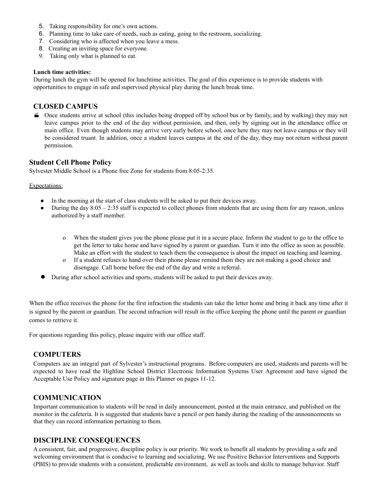- 5. Taking responsibility for one's own actions.
- 6. Planning time to take care of needs, such as eating, going to the restroom, socializing.
- 7. Considering who is affected when you leave a mess.
- 8. Creating an inviting space for everyone.
- 9. Taking only what is planned to eat.

#### **Lunch time activities:**

During lunch the gym will be opened for lunchtime activities. The goal of this experience is to provide students with opportunities to engage in safe and supervised physical play during the lunch break time.

# **CLOSED CAMPUS**

 Once students arrive at school (this includes being dropped off by school bus or by family, and by walking) they may not leave campus prior to the end of the day without permission, and then, only by signing out in the attendance office or main office. Even though students may arrive very early before school, once here they may not leave campus or they will be considered truant. In addition, once a student leaves campus at the end of the day, they may not return without parent permission.

# **Student Cell Phone Policy**

Sylvester Middle School is a Phone free Zone for students from 8:05-2:35.

#### Expectations:

- In the morning at the start of class students will be asked to put their devices away.
- During the day  $8:05 2:35$  staff is expected to collect phones from students that are using them for any reason, unless authorized by a staff member.
	- o When the student gives you the phone please put it in a secure place. Inform the student to go to the office to get the letter to take home and have signed by a parent or guardian. Turn it into the office as soon as possible. Make an effort with the student to teach them the consequence is about the impact on teaching and learning.
	- o If a student refuses to hand over their phone please remind them they are not making a good choice and disengage. Call home before the end of the day and write a referral.
- During after school activities and sports, students will be asked to put their devices away.

When the office receives the phone for the first infraction the students can take the letter home and bring it back any time after it is signed by the parent or guardian. The second infraction will result in the office keeping the phone until the parent or guardian comes to retrieve it.

For questions regarding this policy, please inquire with our office staff.

# **COMPUTERS**

Computers are an integral part of Sylvester's instructional programs. Before computers are used, students and parents will be expected to have read the Highline School District Electronic Information Systems User Agreement and have signed the Acceptable Use Policy and signature page in this Planner on pages 11-12.

# **COMMUNICATION**

Important communication to students will be read in daily announcement, posted at the main entrance, and published on the monitor in the cafeteria. It is suggested that students have a pencil or pen handy during the reading of the announcements so that they can record information pertaining to them.

# **DISCIPLINE CONSEQUENCES**

A consistent, fair, and progressive, discipline policy is our priority. We work to benefit all students by providing a safe and welcoming environment that is conducive to learning and socializing. We use Positive Behavior Interventions and Supports (PBIS) to provide students with a consistent, predictable environment, as well as tools and skills to manage behavior. Staff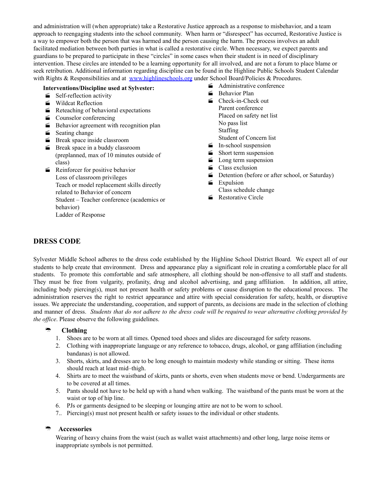and administration will (when appropriate) take a Restorative Justice approach as a response to misbehavior, and a team approach to reengaging students into the school community. When harm or "disrespect" has occurred, Restorative Justice is a way to empower both the person that was harmed and the person causing the harm. The process involves an adult facilitated mediation between both parties in what is called a restorative circle. When necessary, we expect parents and guardians to be prepared to participate in these "circles" in some cases when their student is in need of disciplinary intervention. These circles are intended to be a learning opportunity for all involved, and are not a forum to place blame or seek retribution. Additional information regarding discipline can be found in the Highline Public Schools Student Calendar with Rights & Responsibilities and at www.highlineschools.org under School Board/Policies & Procedures.

#### **Interventions/Discipline used at Sylvester:**

- Self-reflection activity
- Wildcat Reflection
- $\blacktriangleright$  Reteaching of behavioral expectations
- Counselor conferencing
- Behavior agreement with recognition plan
- $\equiv$  Seating change
- **Break space inside classroom**
- **Break space in a buddy classroom** (preplanned, max of 10 minutes outside of class)
- Reinforcer for positive behavior Loss of classroom privileges Teach or model replacement skills directly related to Behavior of concern Student – Teacher conference (academics or behavior) Ladder of Response
- Administrative conference
- Behavior Plan
- Check-in-Check out Parent conference Placed on safety net list No pass list Staffing Student of Concern list
- $\equiv$  In-school suspension
- Short term suspension
- **Long term suspension**
- Class exclusion
- Detention (before or after school, or Saturday)
- $\equiv$  Expulsion Class schedule change
- **Restorative Circle**

# **DRESS CODE**

Sylvester Middle School adheres to the dress code established by the Highline School District Board. We expect all of our students to help create that environment. Dress and appearance play a significant role in creating a comfortable place for all students. To promote this comfortable and safe atmosphere, all clothing should be non-offensive to all staff and students. They must be free from vulgarity, profanity, drug and alcohol advertising, and gang affiliation. In addition, all attire, including body piercing(s), must not present health or safety problems or cause disruption to the educational process. The administration reserves the right to restrict appearance and attire with special consideration for safety, health, or disruptive issues. We appreciate the understanding, cooperation, and support of parents, as decisions are made in the selection of clothing and manner of dress. Students that do not adhere to the dress code will be required to wear alternative clothing provided by *the office*. Please observe the following guidelines.

# <sup>•</sup> Clothing

- 1. Shoes are to be worn at all times. Opened toed shoes and slides are discouraged for safety reasons.
- 2. Clothing with inappropriate language or any reference to tobacco, drugs, alcohol, or gang affiliation (including bandanas) is not allowed.
- 3. Shorts, skirts, and dresses are to be long enough to maintain modesty while standing or sitting. These items should reach at least mid–thigh.
- 4. Shirts are to meet the waistband of skirts, pants or shorts, even when students move or bend. Undergarments are to be covered at all times.
- 5. Pants should not have to be held up with a hand when walking. The waistband of the pants must be worn at the waist or top of hip line.
- 6. PJs or garments designed to be sleeping or lounging attire are not to be worn to school.
- 7.. Piercing(s) must not present health or safety issues to the individual or other students.

# **Accessories**

Wearing of heavy chains from the waist (such as wallet waist attachments) and other long, large noise items or inappropriate symbols is not permitted.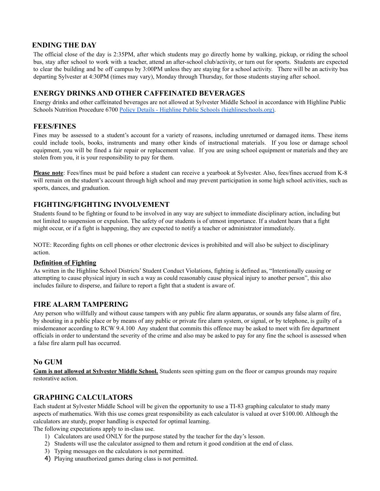# **ENDING THE DAY**

The official close of the day is 2:35PM, after which students may go directly home by walking, pickup, or riding the school bus, stay after school to work with a teacher, attend an after-school club/activity, or turn out for sports. Students are expected to clear the building and be off campus by 3:00PM unless they are staying for a school activity. There will be an activity bus departing Sylvester at 4:30PM (times may vary), Monday through Thursday, for those students staying after school.

# **ENERGY DRINKS AND OTHER CAFFEINATED BEVERAGES**

Energy drinks and other caffeinated beverages are not allowed at Sylvester Middle School in accordance with Highline Public Schools Nutrition Procedure 6700 Policy Details - Highline Public Schools (highlineschools.org).

# **FEES/FINES**

Fines may be assessed to a student's account for a variety of reasons, including unreturned or damaged items. These items could include tools, books, instruments and many other kinds of instructional materials. If you lose or damage school equipment, you will be fined a fair repair or replacement value. If you are using school equipment or materials and they are stolen from you, it is your responsibility to pay for them.

**Please note**: Fees/fines must be paid before a student can receive a yearbook at Sylvester. Also, fees/fines accrued from K-8 will remain on the student's account through high school and may prevent participation in some high school activities, such as sports, dances, and graduation.

# **FIGHTING/FIGHTING INVOLVEMENT**

Students found to be fighting or found to be involved in any way are subject to immediate disciplinary action, including but not limited to suspension or expulsion. The safety of our students is of utmost importance. If a student hears that a fight might occur, or if a fight is happening, they are expected to notify a teacher or administrator immediately.

NOTE: Recording fights on cell phones or other electronic devices is prohibited and will also be subject to disciplinary action.

#### **Definition of Fighting**

As written in the Highline School Districts' Student Conduct Violations, fighting is defined as, "Intentionally causing or attempting to cause physical injury in such a way as could reasonably cause physical injury to another person", this also includes failure to disperse, and failure to report a fight that a student is aware of.

# **FIRE ALARM TAMPERING**

Any person who willfully and without cause tampers with any public fire alarm apparatus, or sounds any false alarm of fire, by shouting in a public place or by means of any public or private fire alarm system, or signal, or by telephone, is guilty of a misdemeanor according to RCW 9.4.100 Any student that commits this offence may be asked to meet with fire department officials in order to understand the severity of the crime and also may be asked to pay for any fine the school is assessed when a false fire alarm pull has occurred.

# **No GUM**

**Gum is not allowed at Sylvester Middle School.** Students seen spitting gum on the floor or campus grounds may require restorative action.

# **GRAPHING CALCULATORS**

Each student at Sylvester Middle School will be given the opportunity to use a TI-83 graphing calculator to study many aspects of mathematics. With this use comes great responsibility as each calculator is valued at over \$100.00. Although the calculators are sturdy, proper handling is expected for optimal learning.

The following expectations apply to in-class use.

- 1) Calculators are used ONLY for the purpose stated by the teacher for the day's lesson.
- 2) Students will use the calculator assigned to them and return it good condition at the end of class.
- 3) Typing messages on the calculators is not permitted.
- 4) Playing unauthorized games during class is not permitted.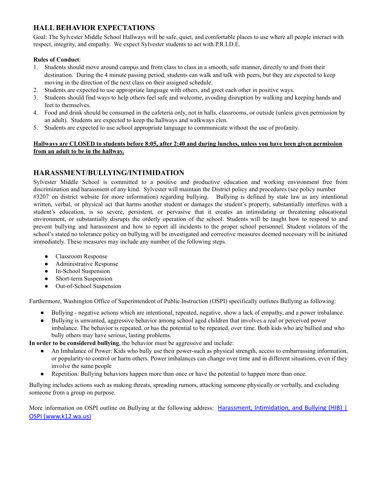# **HALL BEHAVIOR EXPECTATIONS**

Goal: The Sylvester Middle School Hallways will be safe, quiet, and comfortable places to use where all people interact with respect, integrity, and empathy. We expect Sylvester students to act with P.R.I.D.E.

# **Rules of Conduct**:

- 1. Students should move around campus and from class to class in a smooth, safe manner, directly to and from their destination. During the 4 minute passing period, students can walk and talk with peers, but they are expected to keep moving in the direction of the next class on their assigned schedule.
- 2. Students are expected to use appropriate language with others, and greet each other in positive ways.
- 3. Students should find ways to help others feel safe and welcome, avoiding disruption by walking and keeping hands and feet to themselves.
- 4. Food and drink should be consumed in the cafeteria only, not in halls, classrooms, or outside (unless given permission by an adult). Students are expected to keep the hallways and walkways clen.
- 5. Students are expected to use school appropriate language to communicate without the use of profanity.

#### Hallways are CLOSED to students before 8:05, after 2:40 and during lunches, unless you have been given permission **from an adult to be in the hallway.**

# **HARASSMENT/BULLYING/INTIMIDATION**

Sylvester Middle School is committed to a positive and productive education and working environment free from discrimination and harassment of any kind. Sylvester will maintain the District policy and procedures (see policy number #3207 on district website for more information) regarding bullying. Bullying is defined by state law as any intentional written, verbal, or physical act that harms another student or damages the student's property, substantially interferes with a student's education, is so severe, persistent, or pervasive that it creates an intimidating or threatening educational environment, or substantially disrupts the orderly operation of the school. Students will be taught how to respond to and prevent bullying and harassment and how to report all incidents to the proper school personnel. Student violators of the school's stated no tolerance policy on bullying will be investigated and corrective measures deemed necessary will be initiated immediately. These measures may include any number of the following steps.

- Classroom Response
- Administrative Response
- In-School Suspension
- Short-term Suspension
- Out-of-School Suspension

Furthermore, Washington Office of Superintendent of Public Instruction (OSPI) specifically outlines Bullying as following:

- Bullying negative actions which are intentional, repeated, negative, show a lack of empathy, and a power imbalance.
- Bullying is unwanted, aggressive behavior among school aged children that involves a real or perceived power imbalance. The behavior is repeated, or has the potential to be repeated, over time. Both kids who are bullied and who bully others may have serious, lasting problems.

**In order to be considered bullying**, the behavior must be aggressive and include:

- An Imbalance of Power: Kids who bully use their power-such as physical strength, access to embarrassing information, or popularity-to control or harm others. Power imbalances can change over time and in different situations, even if they involve the same people
- Repetition: Bullying behaviors happen more than once or have the potential to happen more than once.

Bullying includes actions such as making threats, spreading rumors, attacking someone physically or verbally, and excluding someone from a group on purpose.

More information on OSPI outline on Bullying at the following address: Harassment, Intimidation, and Bullying (HIB) | OSPI (www.k12.wa.us)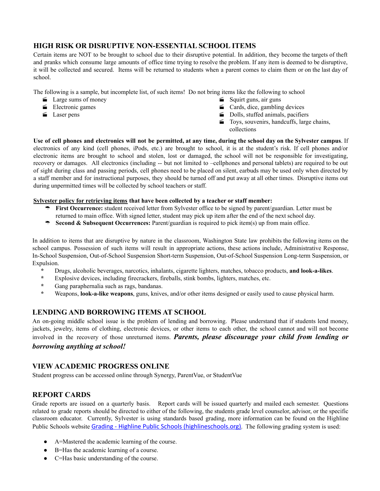# **HIGH RISK OR DISRUPTIVE NON-ESSENTIAL SCHOOL ITEMS**

Certain items are NOT to be brought to school due to their disruptive potential. In addition, they become the targets of theft and pranks which consume large amounts of office time trying to resolve the problem. If any item is deemed to be disruptive, it will be collected and secured. Items will be returned to students when a parent comes to claim them or on the last day of school.

The following is a sample, but incomplete list, of such items! Do not bring items like the following to school

- Large sums of money
- $\equiv$  Electronic games
- Laser pens
- $\equiv$  Squirt guns, air guns
- $\blacksquare$  Cards, dice, gambling devices
- Dolls, stuffed animals, pacifiers
- Toys, souvenirs, handcuffs, large chains, collections

Use of cell phones and electronics will not be permitted, at any time, during the school day on the Sylvester campus. If electronics of any kind (cell phones, iPods, etc.) are brought to school, it is at the student's risk. If cell phones and/or electronic items are brought to school and stolen, lost or damaged, the school will not be responsible for investigating, recovery or damages. All electronics (including -- but not limited to –cellphones and personal tablets) are required to be out of sight during class and passing periods, cell phones need to be placed on silent, earbuds may be used only when directed by a staff member and for instructional purposes, they should be turned off and put away at all other times. Disruptive items out during unpermitted times will be collected by school teachers or staff.

# **Sylvester policy for retrieving items that have been collected by a teacher or staff member:**

- **First Occurrence:** student received letter from Sylvester office to be signed by parent/guardian. Letter must be returned to main office. With signed letter, student may pick up item after the end of the next school day.
- **Second & Subsequent Occurrences:** Parent/guardian is required to pick item(s) up from main office.

In addition to items that are disruptive by nature in the classroom, Washington State law prohibits the following items on the school campus. Possession of such items will result in appropriate actions, these actions include, Administrative Response, In-School Suspension, Out-of-School Suspension Short-term Suspension, Out-of-School Suspension Long-term Suspension, or Expulsion.

- **\*** Drugs, alcoholic beverages, narcotics, inhalants, cigarette lighters, matches, tobacco products, **and look-a-likes**.
- **\*** Explosive devices, including firecrackers, fireballs, stink bombs, lighters, matches, etc.
- **\*** Gang paraphernalia such as rags, bandanas.
- **\*** Weapons, **look-a-like weapons**, guns, knives, and/or other items designed or easily used to cause physical harm.

# **LENDING AND BORROWING ITEMS AT SCHOOL**

An on-going middle school issue is the problem of lending and borrowing. Please understand that if students lend money, jackets, jewelry, items of clothing, electronic devices, or other items to each other, the school cannot and will not become involved in the recovery of those unreturned items. *Parents, please discourage your child from lending or borrowing anything at school!*

# **VIEW ACADEMIC PROGRESS ONLINE**

Student progress can be accessed online through Synergy, ParentVue, or StudentVue

# **REPORT CARDS**

Grade reports are issued on a quarterly basis. Report cards will be issued quarterly and mailed each semester. Questions related to grade reports should be directed to either of the following, the students grade level counselor, advisor, or the specific classroom educator. Currently, Sylvester is using standards based grading, more information can be found on the Highline Public Schools website Grading - Highline Public Schools (highlineschools.org). The following grading system is used:

- A=Mastered the academic learning of the course.
- B=Has the academic learning of a course.
- C=Has basic understanding of the course.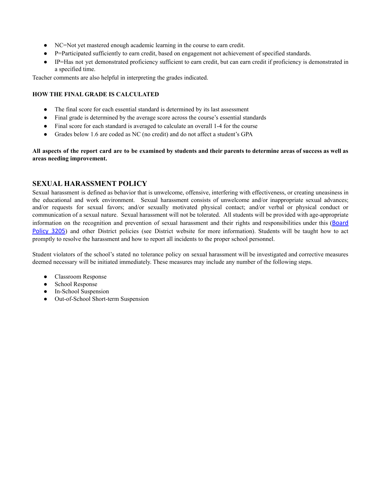- NC=Not yet mastered enough academic learning in the course to earn credit.
- P=Participated sufficiently to earn credit, based on engagement not achievement of specified standards.
- IP=Has not yet demonstrated proficiency sufficient to earn credit, but can earn credit if proficiency is demonstrated in a specified time.

Teacher comments are also helpful in interpreting the grades indicated.

#### **HOW THE FINAL GRADE IS CALCULATED**

- The final score for each essential standard is determined by its last assessment
- Final grade is determined by the average score across the course's essential standards
- Final score for each standard is averaged to calculate an overall 1-4 for the course
- Grades below 1.6 are coded as NC (no credit) and do not affect a student's GPA

All aspects of the report card are to be examined by students and their parents to determine areas of success as well as **areas needing improvement.**

# **SEXUAL HARASSMENT POLICY**

Sexual harassment is defined as behavior that is unwelcome, offensive, interfering with effectiveness, or creating uneasiness in the educational and work environment. Sexual harassment consists of unwelcome and/or inappropriate sexual advances; and/or requests for sexual favors; and/or sexually motivated physical contact; and/or verbal or physical conduct or communication of a sexual nature. Sexual harassment will not be tolerated. All students will be provided with age-appropriate information on the recognition and prevention of sexual harassment and their rights and responsibilities under this (Board Policy 3205) and other District policies (see District website for more information). Students will be taught how to act promptly to resolve the harassment and how to report all incidents to the proper school personnel.

Student violators of the school's stated no tolerance policy on sexual harassment will be investigated and corrective measures deemed necessary will be initiated immediately. These measures may include any number of the following steps.

- Classroom Response
- School Response
- In-School Suspension
- Out-of-School Short-term Suspension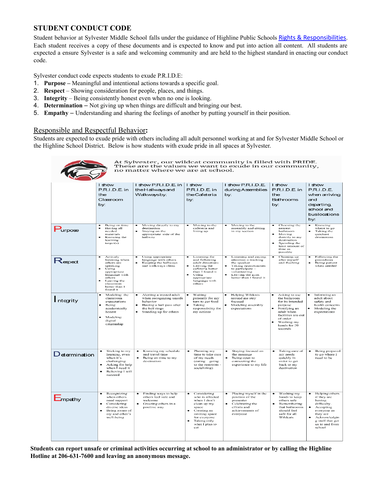# **STUDENT CONDUCT CODE**

Student behavior at Sylvester Middle School falls under the guidance of Highline Public Schools Rights & Responsibilities. Each student receives a copy of these documents and is expected to know and put into action all content. All students are expected a ensure Sylvester is a safe and welcoming community and are held to the highest standard in enacting our conduct code.

Sylvester conduct code expects students to exude P.R.I.D.E:

- 1. **Purpose –** Meaningful and intentional actions towards a specific goal.
- 2. **Respect** Showing consideration for people, places, and things.
- 3. **Integrity** Being consistently honest even when no one is looking.
- 4. **Determination** Not giving up when things are difficult and bringing our best.
- 5. **Empathy** Understanding and sharing the feelings of another by putting yourself in their position.

# Responsible and Respectful Behavior**:**

Students are expected to exude pride with others including all adult personnel working at and for Sylvester Middle School or the Highline School District. Below is how students with exude pride in all spaces at Sylvester.

| At Sylvester, our wildcat community is filled with PRIDE.<br>These are the values we want to exude in our community,<br>no matter where we are at school. |                                                                                                                                                                  |                                                                                                                                         |                                                                                                                                                                 |                                                                                                                                                                      |                                                                                                                                                                       |                                                                                                                                                                             |  |  |
|-----------------------------------------------------------------------------------------------------------------------------------------------------------|------------------------------------------------------------------------------------------------------------------------------------------------------------------|-----------------------------------------------------------------------------------------------------------------------------------------|-----------------------------------------------------------------------------------------------------------------------------------------------------------------|----------------------------------------------------------------------------------------------------------------------------------------------------------------------|-----------------------------------------------------------------------------------------------------------------------------------------------------------------------|-----------------------------------------------------------------------------------------------------------------------------------------------------------------------------|--|--|
|                                                                                                                                                           | I show<br>P.R.I.D.E. in<br>the<br>Classroom<br>by:                                                                                                               | I show P.R.I.D.E. in<br>theHallwaysand<br>Walkwaysby:                                                                                   | I show<br>P.R.I.D.E. in<br>theCafeteria<br>by:                                                                                                                  | I show P.R.I.D.E.<br>during Assemblies<br>by:                                                                                                                        | I show<br>P.R.I.D.E. in<br>the<br>Bathrooms<br>by:                                                                                                                    | I show<br>P.R.I.D.E.<br>when arriving<br>and<br>departing,<br>school and<br>buslocations<br>by:                                                                             |  |  |
| $P_{\text{urpose}}$                                                                                                                                       | Being on time<br>Having all<br>$n$ eeded<br>materials<br>Knowing the<br>learning<br>target(s)                                                                    | Moving directly to my<br>destination<br>Staying on the<br>appropriate side of the<br>hallway                                            | Moving to the<br>cafeteria and<br>lining up                                                                                                                     | Moving to the<br>assembly and sitting<br>in my section                                                                                                               | Choosing the<br>nearest<br>bathroom<br>Moving<br>directly to my<br>destination<br>Spending the<br>least amount of<br>time as<br>possible                              | Knowing<br>where to go<br>Taking the<br>quickest<br>destination                                                                                                             |  |  |
| Respect                                                                                                                                                   | Actively<br>listening when<br>others are<br>speaking<br>Using<br>appropriate<br>language with<br>others<br>Leaving the<br>classroom<br>better than 1<br>found it | Using appropriate<br>language with others<br>Keeping the hallways<br>and walkways clean                                                 | Listening for<br>and following<br>adult directions<br>Leaving the<br>cafeteria better<br>than I found it<br>Using<br>appropriate<br>language with<br>others     | Listening and paying<br>attention - tracking<br>the speaker<br>Taking opportunities<br>to participate -<br>volunteering<br>Leaving the gym<br>better than I found it | Cleaning up<br>after myself<br>and flushing                                                                                                                           | Following the<br>procedures<br>Being patient<br>when needed                                                                                                                 |  |  |
| Integrity                                                                                                                                                 | Modeling the<br>classroom<br>expectations<br>Being<br>academically<br>honest<br>Modeling<br>digital<br>citizenship                                               | Alerting a trusted adult<br>when recognizing unsafe<br>behavior<br>Having a hall pass after<br>the bell rings<br>Standing up for others | Waiting<br>patiently for my<br>turn to get food<br>Taking<br>responsibility for<br>my actions                                                                   | <b>Helping Wildeats</b><br>around me stay<br>focused<br>Modeling assembly<br>expectations                                                                            | Asking to use<br>the bathroom<br>for its intended<br>purpose<br>Notifying an<br>adult when<br>facilities are out<br>of order<br>Washing my<br>hands for 20<br>seconds | Informing an<br>adult about<br>safety and<br>health concerns<br>Modeling the<br>expectations                                                                                |  |  |
| Determination                                                                                                                                             | Sticking to my<br>learning, even<br>when it's<br>challenging<br>Asking for help<br>when I need it<br>Believing I will<br>succeed                                 | Knowing my schedule<br>and travel time<br>Being on time to my<br>destination                                                            | Planning my<br>time to take care<br>of my needs<br>(cating going<br>to the restroom -<br>socializing)                                                           | Staying focused on<br>the message<br>$\bullet$<br>Being open to<br>connecting the<br>experience to my life                                                           | Taking care of<br>٠<br>my needs<br>quickly in<br>order to get<br>back to my<br>destination                                                                            | Being prepared<br>to go where I<br>need to be                                                                                                                               |  |  |
| Empathy                                                                                                                                                   | Recognizing<br>when others<br>need support<br>Considering<br>diverse ideas<br>Being aware of<br>my and other's<br>well-being                                     | Finding ways to help<br>others feel safe and<br>welcome<br>Greeting others in a<br>positive way                                         | Considering<br>who is affected<br>when I don't<br>clean up my<br>space<br>Creating an<br>inviting space<br>for everyone<br>Taking only<br>what I plan to<br>cat | Placing myself in the<br>٠<br>position of the<br>presenter<br>Celebrating the<br>efforts and<br>achievements of<br>everyone                                          | Washing my<br>$\bullet$<br>hands to keep<br>others safe<br>Remembering<br>that bathrooms<br>should feel<br>safe for all<br>Wildcats                                   | Helping others<br>if they are<br>having<br>difficulty.<br>Accepting<br>$\bullet$<br>evervone as<br>they are<br>Acknowledgin<br>g staff that get<br>us to and from<br>school |  |  |

Students can report unsafe or criminal activities occurring at school to an administrator or by calling the Highline **Hotline at 206-631-7600 and leaving an anonymous message.**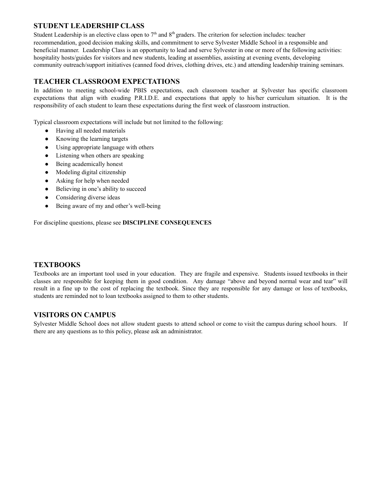# **STUDENT LEADERSHIP CLASS**

Student Leadership is an elective class open to  $7<sup>th</sup>$  and  $8<sup>th</sup>$  graders. The criterion for selection includes: teacher recommendation, good decision making skills, and commitment to serve Sylvester Middle School in a responsible and beneficial manner. Leadership Class is an opportunity to lead and serve Sylvester in one or more of the following activities: hospitality hosts/guides for visitors and new students, leading at assemblies, assisting at evening events, developing community outreach/support initiatives (canned food drives, clothing drives, etc.) and attending leadership training seminars.

# **TEACHER CLASSROOM EXPECTATIONS**

In addition to meeting school-wide PBIS expectations, each classroom teacher at Sylvester has specific classroom expectations that align with exuding P.R.I.D.E. and expectations that apply to his/her curriculum situation. It is the responsibility of each student to learn these expectations during the first week of classroom instruction.

Typical classroom expectations will include but not limited to the following:

- Having all needed materials
- Knowing the learning targets
- Using appropriate language with others
- Listening when others are speaking
- Being academically honest
- Modeling digital citizenship
- Asking for help when needed
- Believing in one's ability to succeed
- Considering diverse ideas
- Being aware of my and other's well-being

For discipline questions, please see **DISCIPLINE CONSEQUENCES**

# **TEXTBOOKS**

Textbooks are an important tool used in your education. They are fragile and expensive. Students issued textbooks in their classes are responsible for keeping them in good condition. Any damage "above and beyond normal wear and tear" will result in a fine up to the cost of replacing the textbook. Since they are responsible for any damage or loss of textbooks, students are reminded not to loan textbooks assigned to them to other students.

# **VISITORS ON CAMPUS**

Sylvester Middle School does not allow student guests to attend school or come to visit the campus during school hours. If there are any questions as to this policy, please ask an administrator.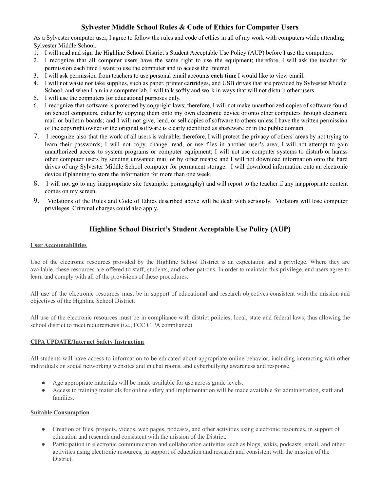# **Sylvester Middle School Rules & Code of Ethics for Computer Users**

As a Sylvester computer user, I agree to follow the rules and code of ethics in all of my work with computers while attending Sylvester Middle School.

- 1. I will read and sign the Highline School District's Student Acceptable Use Policy (AUP) before I use the computers.
- 2. I recognize that all computer users have the same right to use the equipment; therefore, I will ask the teacher for permission each time I want to use the computer and to access the Internet.
- 3. I will ask permission from teachers to use personal email accounts **each time** I would like to view email.
- 4. I will not waste nor take supplies, such as paper, printer cartridges, and USB drives that are provided by Sylvester Middle School; and when I am in a computer lab, I will talk softly and work in ways that will not disturb other users.
- 5. I will use the computers for educational purposes only.
- 6. I recognize that software is protected by copyright laws; therefore, I will not make unauthorized copies of software found on school computers, either by copying them onto my own electronic device or onto other computers through electronic mail or bulletin boards; and I will not give, lend, or sell copies of software to others unless I have the written permission of the copyright owner or the original software is clearly identified as shareware or in the public domain.
- 7. I recognize also that the work of all users is valuable; therefore, I will protect the privacy of others' areas by not trying to learn their passwords; I will not copy, change, read, or use files in another user's area; I will not attempt to gain unauthorized access to system programs or computer equipment; I will not use computer systems to disturb or harass other computer users by sending unwanted mail or by other means; and I will not download information onto the hard drives of any Sylvester Middle School computer for permanent storage. I will download information onto an electronic device if planning to store the information for more than one week.
- 8. I will not go to any inappropriate site (example: pornography) and will report to the teacher if any inappropriate content comes on my screen.
- 9. Violations of the Rules and Code of Ethics described above will be dealt with seriously. Violators will lose computer privileges. Criminal charges could also apply.

# **Highline School District's Student Acceptable Use Policy (AUP)**

#### **User Accountabilities**

Use of the electronic resources provided by the Highline School District is an expectation and a privilege. Where they are available, these resources are offered to staff, students, and other patrons. In order to maintain this privilege, end users agree to learn and comply with all of the provisions of these procedures.

All use of the electronic resources must be in support of educational and research objectives consistent with the mission and objectives of the Highline School District.

All use of the electronic resources must be in compliance with district policies, local, state and federal laws; thus allowing the school district to meet requirements (i.e., FCC CIPA compliance).

#### **CIPA UPDATE/Internet Safety Instruction**

All students will have access to information to be educated about appropriate online behavior, including interacting with other individuals on social networking websites and in chat rooms, and cyberbullying awareness and response.

- Age appropriate materials will be made available for use across grade levels.
- Access to training materials for online safety and implementation will be made available for administration, staff and families.

#### **Suitable Consumption**

- Creation of files, projects, videos, web pages, podcasts, and other activities using electronic resources, in support of education and research and consistent with the mission of the District.
- Participation in electronic communication and collaboration activities such as blogs, wikis, podcasts, email, and other activities using electronic resources, in support of education and research and consistent with the mission of the District.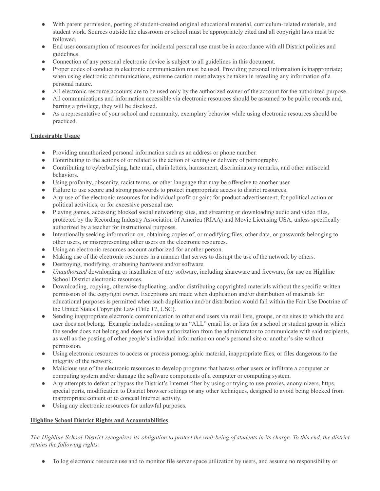- With parent permission, posting of student-created original educational material, curriculum-related materials, and student work. Sources outside the classroom or school must be appropriately cited and all copyright laws must be followed.
- End user consumption of resources for incidental personal use must be in accordance with all District policies and guidelines.
- Connection of any personal electronic device is subject to all guidelines in this document.
- Proper codes of conduct in electronic communication must be used. Providing personal information is inappropriate; when using electronic communications, extreme caution must always be taken in revealing any information of a personal nature.
- All electronic resource accounts are to be used only by the authorized owner of the account for the authorized purpose.
- All communications and information accessible via electronic resources should be assumed to be public records and, barring a privilege, they will be disclosed.
- As a representative of your school and community, exemplary behavior while using electronic resources should be practiced.

#### **Undesirable Usage**

- Providing unauthorized personal information such as an address or phone number.
- Contributing to the actions of or related to the action of sexting or delivery of pornography.
- Contributing to cyberbullying, hate mail, chain letters, harassment, discriminatory remarks, and other antisocial behaviors.
- Using profanity, obscenity, racist terms, or other language that may be offensive to another user.
- Failure to use secure and strong passwords to protect inappropriate access to district resources.
- Any use of the electronic resources for individual profit or gain; for product advertisement; for political action or political activities; or for excessive personal use.
- Playing games, accessing blocked social networking sites, and streaming or downloading audio and video files, protected by the Recording Industry Association of America (RIAA) and Movie Licensing USA, unless specifically authorized by a teacher for instructional purposes.
- Intentionally seeking information on, obtaining copies of, or modifying files, other data, or passwords belonging to other users, or misrepresenting other users on the electronic resources.
- Using an electronic resources account authorized for another person.
- Making use of the electronic resources in a manner that serves to disrupt the use of the network by others.
- Destroying, modifying, or abusing hardware and/or software.
- *Unauthorized* downloading or installation of any software, including shareware and freeware, for use on Highline School District electronic resources.
- Downloading, copying, otherwise duplicating, and/or distributing copyrighted materials without the specific written permission of the copyright owner. Exceptions are made when duplication and/or distribution of materials for educational purposes is permitted when such duplication and/or distribution would fall within the Fair Use Doctrine of the United States Copyright Law (Title 17, USC).
- Sending inappropriate electronic communication to other end users via mail lists, groups, or on sites to which the end user does not belong. Example includes sending to an "ALL" email list or lists for a school or student group in which the sender does not belong and does not have authorization from the administrator to communicate with said recipients, as well as the posting of other people's individual information on one's personal site or another's site without permission.
- Using electronic resources to access or process pornographic material, inappropriate files, or files dangerous to the integrity of the network.
- Malicious use of the electronic resources to develop programs that harass other users or infiltrate a computer or computing system and/or damage the software components of a computer or computing system.
- Any attempts to defeat or bypass the District's Internet filter by using or trying to use proxies, anonymizers, https, special ports, modification to District browser settings or any other techniques, designed to avoid being blocked from inappropriate content or to conceal Internet activity.
- Using any electronic resources for unlawful purposes.

# **Highline School District Rights and Accountabilities**

The Highline School District recognizes its obligation to protect the well-being of students in its charge. To this end, the district *retains the following rights:*

● To log electronic resource use and to monitor file server space utilization by users, and assume no responsibility or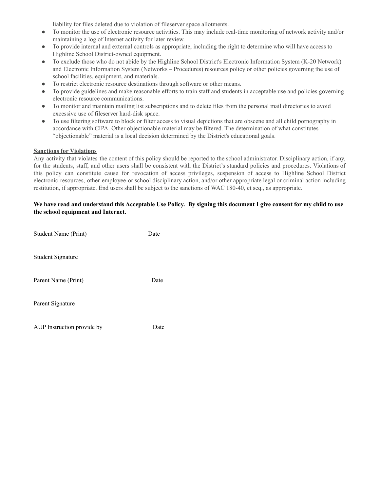liability for files deleted due to violation of fileserver space allotments.

- To monitor the use of electronic resource activities. This may include real-time monitoring of network activity and/or maintaining a log of Internet activity for later review.
- To provide internal and external controls as appropriate, including the right to determine who will have access to Highline School District-owned equipment.
- To exclude those who do not abide by the Highline School District's Electronic Information System (K-20 Network) and Electronic Information System (Networks – Procedures) resources policy or other policies governing the use of school facilities, equipment, and materials.
- To restrict electronic resource destinations through software or other means.
- To provide guidelines and make reasonable efforts to train staff and students in acceptable use and policies governing electronic resource communications.
- To monitor and maintain mailing list subscriptions and to delete files from the personal mail directories to avoid excessive use of fileserver hard-disk space.
- To use filtering software to block or filter access to visual depictions that are obscene and all child pornography in accordance with CIPA. Other objectionable material may be filtered. The determination of what constitutes "objectionable" material is a local decision determined by the District's educational goals.

# **Sanctions for Violations**

Any activity that violates the content of this policy should be reported to the school administrator. Disciplinary action, if any, for the students, staff, and other users shall be consistent with the District's standard policies and procedures. Violations of this policy can constitute cause for revocation of access privileges, suspension of access to Highline School District electronic resources, other employee or school disciplinary action, and/or other appropriate legal or criminal action including restitution, if appropriate. End users shall be subject to the sanctions of WAC 180-40, et seq., as appropriate.

#### We have read and understand this Acceptable Use Policy. By signing this document I give consent for my child to use **the school equipment and Internet.**

| Student Name (Print)       | Date |
|----------------------------|------|
| <b>Student Signature</b>   |      |
| Parent Name (Print)        | Date |
| Parent Signature           |      |
| AUP Instruction provide by | Date |